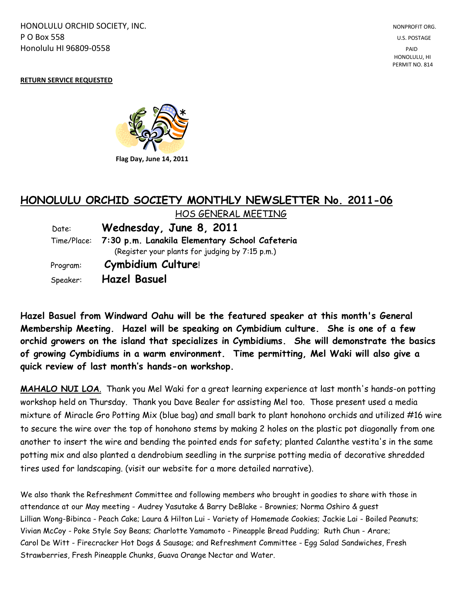HONOLULU ORCHID SOCIETY, INC. NONPROFIT ORG. NONPROFIT ORG. **P O Box 558** U.S. POSTAGE Honolulu HI 96809-0558 PAID

 HONOLULU, HI PERMIT NO. 814

#### **RETURN SERVICE REQUESTED**



# **HONOLULU ORCHID SOCIETY MONTHLY NEWSLETTER No. 2011-06**

 HOS GENERAL MEETING Date: **Wednesday, June 8, 2011** Time/Place: **7:30 p.m. Lanakila Elementary School Cafeteria** (Register your plants for judging by 7:15 p.m.) Program: **Cymbidium Culture**! Speaker: **Hazel Basuel**

**Hazel Basuel from Windward Oahu will be the featured speaker at this month's General Membership Meeting. Hazel will be speaking on Cymbidium culture. She is one of a few orchid growers on the island that specializes in Cymbidiums. She will demonstrate the basics of growing Cymbidiums in a warm environment. Time permitting, Mel Waki will also give a quick review of last month's hands-on workshop.**

**MAHALO NUI LOA**. Thank you Mel Waki for a great learning experience at last month's hands-on potting workshop held on Thursday. Thank you Dave Bealer for assisting Mel too. Those present used a media mixture of Miracle Gro Potting Mix (blue bag) and small bark to plant honohono orchids and utilized #16 wire to secure the wire over the top of honohono stems by making 2 holes on the plastic pot diagonally from one another to insert the wire and bending the pointed ends for safety; planted Calanthe vestita's in the same potting mix and also planted a dendrobium seedling in the surprise potting media of decorative shredded tires used for landscaping. (visit our website for a more detailed narrative).

We also thank the Refreshment Committee and following members who brought in goodies to share with those in attendance at our May meeting - Audrey Yasutake & Barry DeBlake - Brownies; Norma Oshiro & guest Lillian Wong-Bibinca - Peach Cake; Laura & Hilton Lui - Variety of Homemade Cookies; Jackie Lai - Boiled Peanuts; Vivian McCoy - Poke Style Soy Beans; Charlotte Yamamoto - Pineapple Bread Pudding; Ruth Chun - Arare; Carol De Witt - Firecracker Hot Dogs & Sausage; and Refreshment Committee - Egg Salad Sandwiches, Fresh Strawberries, Fresh Pineapple Chunks, Guava Orange Nectar and Water.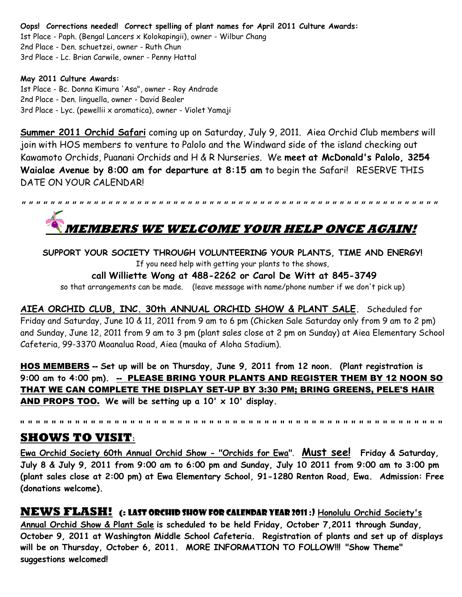**Oops! Corrections needed! Correct spelling of plant names for April 2011 Culture Awards:** 1st Place - Paph. (Bengal Lancers x Kolokapingii), owner - Wilbur Chang 2nd Place - Den. schuetzei, owner - Ruth Chun 3rd Place - Lc. Brian Carwile, owner - Penny Hattal

#### **May 2011 Culture Awards:**

1st Place - Bc. Donna Kimura 'Asa", owner - Roy Andrade 2nd Place - Den. linguella, owner - David Bealer 3rd Place - Lyc. (pewellii x aromatica), owner - Violet Yamaji

**Summer 2011 Orchid Safari** coming up on Saturday, July 9, 2011. Aiea Orchid Club members will join with HOS members to venture to Palolo and the Windward side of the island checking out Kawamoto Orchids, Puanani Orchids and H & R Nurseries. We **meet at McDonald's Palolo, 3254 Waialae Avenue by 8:00 am for departure at 8:15 am** to begin the Safari! RESERVE THIS DATE ON YOUR CALENDAR!

**" " " " " " " " " " " " " " " " " " " " " " " " " " " " " " " " " " " " " " " " " " " " " " " " " " " " " " " " " " MEMBERS WE WELCOME YOUR HELP ONCE AGAIN!**

**SUPPORT YOUR SOCIETY THROUGH VOLUNTEERING YOUR PLANTS, TIME AND ENERGY!** If you need help with getting your plants to the shows,

**call Williette Wong at 488-2262 or Carol De Witt at 845-3749**

so that arrangements can be made. (leave message with name/phone number if we don't pick up)

**AIEA ORCHID CLUB, INC. 30th ANNUAL ORCHID SHOW & PLANT SALE.** Scheduled for Friday and Saturday, June 10 & 11, 2011 from 9 am to 6 pm (Chicken Sale Saturday only from 9 am to 2 pm) and Sunday, June 12, 2011 from 9 am to 3 pm (plant sales close at 2 pm on Sunday) at Aiea Elementary School Cafeteria, 99-3370 Moanalua Road, Aiea (mauka of Aloha Stadium).

HOS MEMBERS -- **Set up will be on Thursday, June 9, 2011 from 12 noon. (Plant registration is 9:00 am to 4:00 pm).** -- PLEASE BRING YOUR PLANTS AND REGISTER THEM BY 12 NOON SO THAT WE CAN COMPLETE THE DISPLAY SET-UP BY 3:30 PM; BRING GREENS, PELE'S HAIR AND PROPS TOO. **We will be setting up a 10' x 10' display.** 

**" " " " " " " " " " " " " " " " " " " " " " " " " " " " " " " " " " " " " " " " " " " " " " " " " " " " " "**

## **SHOWS TO VISIT:**

**Ewa Orchid Society 60th Annual Orchid Show - "Orchids for Ewa"**. **Must see! Friday & Saturday, July 8 & July 9, 2011 from 9:00 am to 6:00 pm and Sunday, July 10 2011 from 9:00 am to 3:00 pm (plant sales close at 2:00 pm) at Ewa Elementary School, 91-1280 Renton Road, Ewa. Admission: Free (donations welcome).**

**NEWS FLASH! (:** Last orchid show for calendar year 2011 :) **Honolulu Orchid Society's Annual Orchid Show & Plant Sale is scheduled to be held Friday, October 7,2011 through Sunday, October 9, 2011 at Washington Middle School Cafeteria. Registration of plants and set up of displays will be on Thursday, October 6, 2011. MORE INFORMATION TO FOLLOW!!! "Show Theme" suggestions welcomed!**